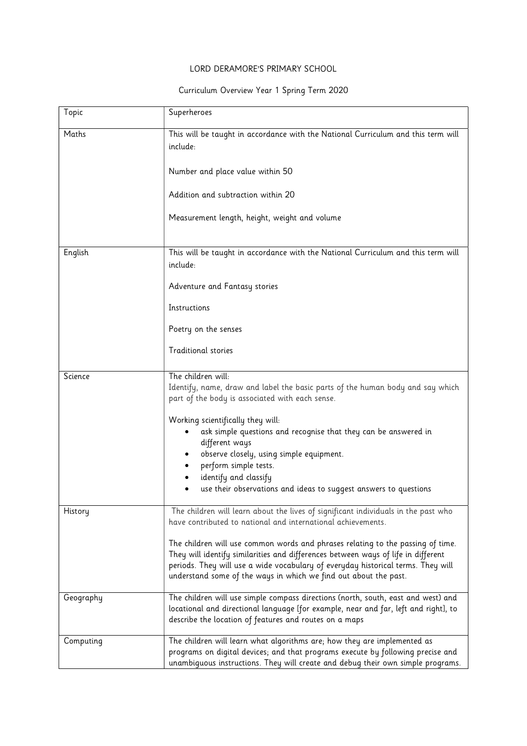## LORD DERAMORE'S PRIMARY SCHOOL

## Curriculum Overview Year 1 Spring Term 2020

| Topic     | Superheroes                                                                                                                                                                                                                                                                                                                  |
|-----------|------------------------------------------------------------------------------------------------------------------------------------------------------------------------------------------------------------------------------------------------------------------------------------------------------------------------------|
| Maths     | This will be taught in accordance with the National Curriculum and this term will<br>include:                                                                                                                                                                                                                                |
|           | Number and place value within 50                                                                                                                                                                                                                                                                                             |
|           | Addition and subtraction within 20                                                                                                                                                                                                                                                                                           |
|           | Measurement length, height, weight and volume                                                                                                                                                                                                                                                                                |
| English   | This will be taught in accordance with the National Curriculum and this term will<br>include:                                                                                                                                                                                                                                |
|           | Adventure and Fantasy stories                                                                                                                                                                                                                                                                                                |
|           | Instructions                                                                                                                                                                                                                                                                                                                 |
|           | Poetry on the senses                                                                                                                                                                                                                                                                                                         |
|           | <b>Traditional stories</b>                                                                                                                                                                                                                                                                                                   |
| Science   | The children will:<br>Identify, name, draw and label the basic parts of the human body and say which<br>part of the body is associated with each sense.                                                                                                                                                                      |
|           | Working scientifically they will:<br>ask simple questions and recognise that they can be answered in<br>different ways                                                                                                                                                                                                       |
|           | observe closely, using simple equipment.<br>perform simple tests.                                                                                                                                                                                                                                                            |
|           | identify and classify<br>use their observations and ideas to suggest answers to questions                                                                                                                                                                                                                                    |
|           | The children will learn about the lives of significant individuals in the past who                                                                                                                                                                                                                                           |
| History   | have contributed to national and international achievements.                                                                                                                                                                                                                                                                 |
|           | The children will use common words and phrases relating to the passing of time.<br>They will identify similarities and differences between ways of life in different<br>periods. They will use a wide vocabulary of everyday historical terms. They will<br>understand some of the ways in which we find out about the past. |
| Geography | The children will use simple compass directions (north, south, east and west) and<br>locational and directional language [for example, near and far, left and right], to<br>describe the location of features and routes on a maps                                                                                           |
| Computing | The children will learn what algorithms are; how they are implemented as<br>programs on digital devices; and that programs execute by following precise and<br>unambiguous instructions. They will create and debug their own simple programs.                                                                               |